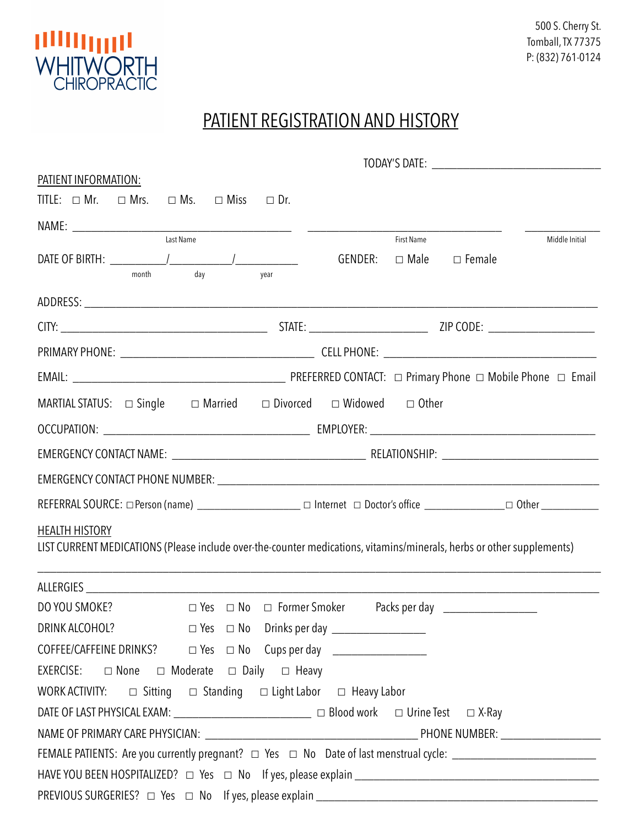

## PATIENT REGISTRATION AND HISTORY

| PATIENT INFORMATION:                                                                                                  |         |                   |                                  |                |  |  |  |
|-----------------------------------------------------------------------------------------------------------------------|---------|-------------------|----------------------------------|----------------|--|--|--|
| TITLE: $\Box$ Mr. $\Box$ Mrs. $\Box$ Ms. $\Box$ Miss $\Box$ Dr.                                                       |         |                   |                                  |                |  |  |  |
|                                                                                                                       |         |                   |                                  |                |  |  |  |
| Last Name                                                                                                             | GENDER: | <b>First Name</b> | $\Box$ Male $\Box$ Female        | Middle Initial |  |  |  |
| day<br>month<br>year                                                                                                  |         |                   |                                  |                |  |  |  |
|                                                                                                                       |         |                   |                                  |                |  |  |  |
|                                                                                                                       |         |                   |                                  |                |  |  |  |
|                                                                                                                       |         |                   |                                  |                |  |  |  |
|                                                                                                                       |         |                   |                                  |                |  |  |  |
| MARTIAL STATUS: $\Box$ Single $\Box$ Married $\Box$ Divorced $\Box$ Widowed $\Box$ Other                              |         |                   |                                  |                |  |  |  |
|                                                                                                                       |         |                   |                                  |                |  |  |  |
|                                                                                                                       |         |                   |                                  |                |  |  |  |
|                                                                                                                       |         |                   |                                  |                |  |  |  |
|                                                                                                                       |         |                   |                                  |                |  |  |  |
| <b>HEALTH HISTORY</b>                                                                                                 |         |                   |                                  |                |  |  |  |
| LIST CURRENT MEDICATIONS (Please include over-the-counter medications, vitamins/minerals, herbs or other supplements) |         |                   |                                  |                |  |  |  |
|                                                                                                                       |         |                   |                                  |                |  |  |  |
| DO YOU SMOKE?<br>$\Box$ Yes $\Box$ No $\Box$ Former Smoker                                                            |         |                   | Packs per day __________________ |                |  |  |  |
|                                                                                                                       |         |                   |                                  |                |  |  |  |
| COFFEE/CAFFEINE DRINKS? □ Yes □ No Cups per day _________________                                                     |         |                   |                                  |                |  |  |  |
|                                                                                                                       |         |                   |                                  |                |  |  |  |
| WORK ACTIVITY: $\Box$ Sitting $\Box$ Standing $\Box$ Light Labor $\Box$ Heavy Labor                                   |         |                   |                                  |                |  |  |  |
| DATE OF LAST PHYSICAL EXAM: __________________________ □ Blood work □ Urine Test □ X-Ray                              |         |                   |                                  |                |  |  |  |
|                                                                                                                       |         |                   |                                  |                |  |  |  |
|                                                                                                                       |         |                   |                                  |                |  |  |  |
|                                                                                                                       |         |                   |                                  |                |  |  |  |
|                                                                                                                       |         |                   |                                  |                |  |  |  |